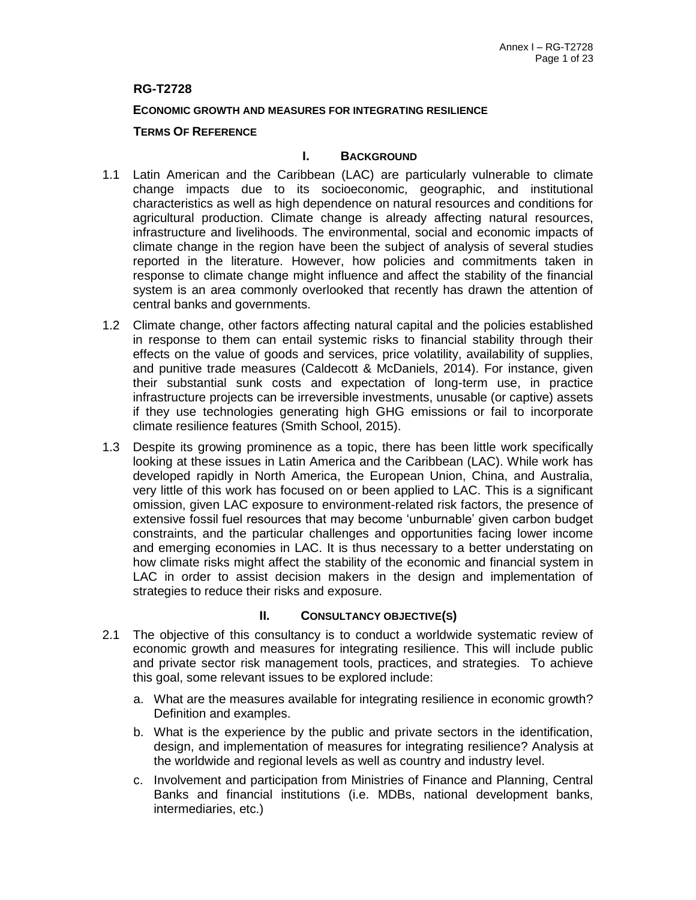## **RG-T2728**

### **ECONOMIC GROWTH AND MEASURES FOR INTEGRATING RESILIENCE**

## **TERMS OF REFERENCE**

### **I. BACKGROUND**

- 1.1 Latin American and the Caribbean (LAC) are particularly vulnerable to climate change impacts due to its socioeconomic, geographic, and institutional characteristics as well as high dependence on natural resources and conditions for agricultural production. Climate change is already affecting natural resources, infrastructure and livelihoods. The environmental, social and economic impacts of climate change in the region have been the subject of analysis of several studies reported in the literature. However, how policies and commitments taken in response to climate change might influence and affect the stability of the financial system is an area commonly overlooked that recently has drawn the attention of central banks and governments.
- 1.2 Climate change, other factors affecting natural capital and the policies established in response to them can entail systemic risks to financial stability through their effects on the value of goods and services, price volatility, availability of supplies, and punitive trade measures (Caldecott & McDaniels, 2014). For instance, given their substantial sunk costs and expectation of long-term use, in practice infrastructure projects can be irreversible investments, unusable (or captive) assets if they use technologies generating high GHG emissions or fail to incorporate climate resilience features (Smith School, 2015).
- 1.3 Despite its growing prominence as a topic, there has been little work specifically looking at these issues in Latin America and the Caribbean (LAC). While work has developed rapidly in North America, the European Union, China, and Australia, very little of this work has focused on or been applied to LAC. This is a significant omission, given LAC exposure to environment-related risk factors, the presence of extensive fossil fuel resources that may become 'unburnable' given carbon budget constraints, and the particular challenges and opportunities facing lower income and emerging economies in LAC. It is thus necessary to a better understating on how climate risks might affect the stability of the economic and financial system in LAC in order to assist decision makers in the design and implementation of strategies to reduce their risks and exposure.

- 2.1 The objective of this consultancy is to conduct a worldwide systematic review of economic growth and measures for integrating resilience. This will include public and private sector risk management tools, practices, and strategies. To achieve this goal, some relevant issues to be explored include:
	- a. What are the measures available for integrating resilience in economic growth? Definition and examples.
	- b. What is the experience by the public and private sectors in the identification, design, and implementation of measures for integrating resilience? Analysis at the worldwide and regional levels as well as country and industry level.
	- c. Involvement and participation from Ministries of Finance and Planning, Central Banks and financial institutions (i.e. MDBs, national development banks, intermediaries, etc.)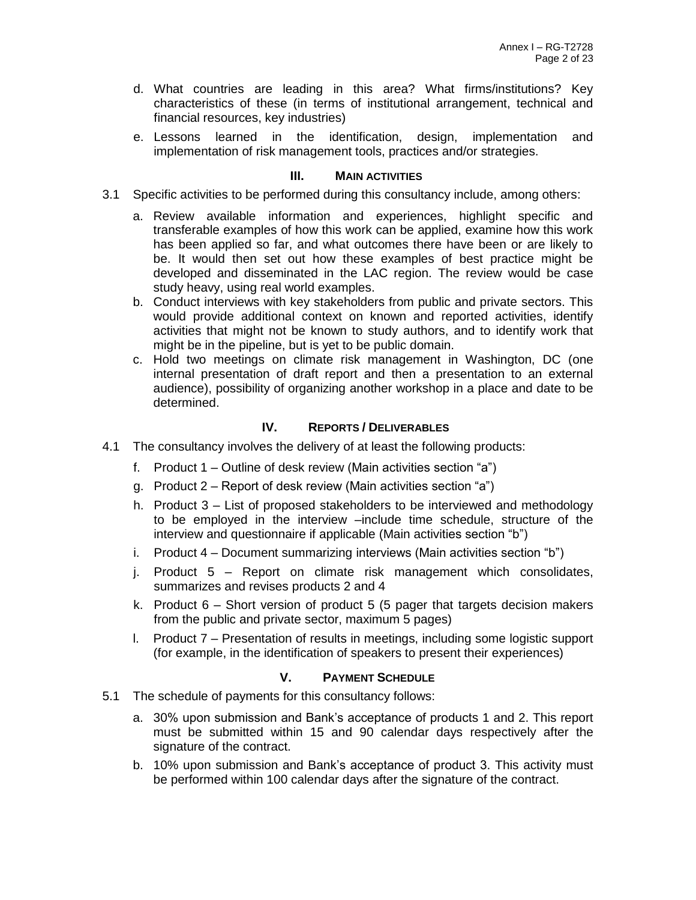- d. What countries are leading in this area? What firms/institutions? Key characteristics of these (in terms of institutional arrangement, technical and financial resources, key industries)
- e. Lessons learned in the identification, design, implementation and implementation of risk management tools, practices and/or strategies.

- 3.1 Specific activities to be performed during this consultancy include, among others:
	- a. Review available information and experiences, highlight specific and transferable examples of how this work can be applied, examine how this work has been applied so far, and what outcomes there have been or are likely to be. It would then set out how these examples of best practice might be developed and disseminated in the LAC region. The review would be case study heavy, using real world examples.
	- b. Conduct interviews with key stakeholders from public and private sectors. This would provide additional context on known and reported activities, identify activities that might not be known to study authors, and to identify work that might be in the pipeline, but is yet to be public domain.
	- c. Hold two meetings on climate risk management in Washington, DC (one internal presentation of draft report and then a presentation to an external audience), possibility of organizing another workshop in a place and date to be determined.

## **IV. REPORTS / DELIVERABLES**

- 4.1 The consultancy involves the delivery of at least the following products:
	- f. Product 1 Outline of desk review (Main activities section "a")
	- g. Product 2 Report of desk review (Main activities section "a")
	- h. Product 3 List of proposed stakeholders to be interviewed and methodology to be employed in the interview –include time schedule, structure of the interview and questionnaire if applicable (Main activities section "b")
	- i. Product 4 Document summarizing interviews (Main activities section "b")
	- j. Product 5 Report on climate risk management which consolidates, summarizes and revises products 2 and 4
	- k. Product 6 Short version of product 5 (5 pager that targets decision makers from the public and private sector, maximum 5 pages)
	- l. Product 7 Presentation of results in meetings, including some logistic support (for example, in the identification of speakers to present their experiences)

- 5.1 The schedule of payments for this consultancy follows:
	- a. 30% upon submission and Bank's acceptance of products 1 and 2. This report must be submitted within 15 and 90 calendar days respectively after the signature of the contract.
	- b. 10% upon submission and Bank's acceptance of product 3. This activity must be performed within 100 calendar days after the signature of the contract.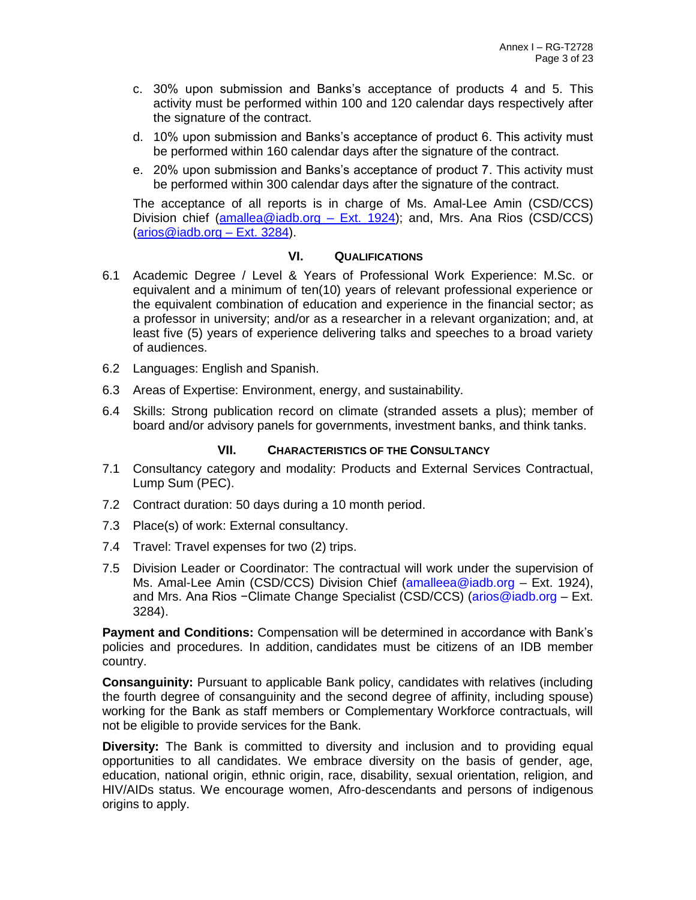- c. 30% upon submission and Banks's acceptance of products 4 and 5. This activity must be performed within 100 and 120 calendar days respectively after the signature of the contract.
- d. 10% upon submission and Banks's acceptance of product 6. This activity must be performed within 160 calendar days after the signature of the contract.
- e. 20% upon submission and Banks's acceptance of product 7. This activity must be performed within 300 calendar days after the signature of the contract.

The acceptance of all reports is in charge of Ms. Amal-Lee Amin (CSD/CCS) Division chief [\(amallea@iadb.org](mailto:amallea@iadb.org) – Ext. 1924); and, Mrs. Ana Rios (CSD/CCS) [\(arios@iadb.org](mailto:arios@iadb.org) – Ext. 3284).

## **VI. QUALIFICATIONS**

- 6.1 Academic Degree / Level & Years of Professional Work Experience: M.Sc. or equivalent and a minimum of ten(10) years of relevant professional experience or the equivalent combination of education and experience in the financial sector; as a professor in university; and/or as a researcher in a relevant organization; and, at least five (5) years of experience delivering talks and speeches to a broad variety of audiences.
- 6.2 Languages: English and Spanish.
- 6.3 Areas of Expertise: Environment, energy, and sustainability.
- 6.4 Skills: Strong publication record on climate (stranded assets a plus); member of board and/or advisory panels for governments, investment banks, and think tanks.

### **VII. CHARACTERISTICS OF THE CONSULTANCY**

- 7.1 Consultancy category and modality: Products and External Services Contractual, Lump Sum (PEC).
- 7.2 Contract duration: 50 days during a 10 month period.
- 7.3 Place(s) of work: External consultancy.
- 7.4 Travel: Travel expenses for two (2) trips.
- 7.5 Division Leader or Coordinator: The contractual will work under the supervision of Ms. Amal-Lee Amin (CSD/CCS) Division Chief [\(amalleea@iadb.org](mailto:amalleea@iadb.org) – Ext. 1924), and Mrs. Ana Rios −Climate Change Specialist (CSD/CCS) [\(arios@iadb.org](mailto:arios@iadb.org) – Ext. 3284).

**Payment and Conditions:** Compensation will be determined in accordance with Bank's policies and procedures. In addition, candidates must be citizens of an IDB member country.

**Consanguinity:** Pursuant to applicable Bank policy, candidates with relatives (including the fourth degree of consanguinity and the second degree of affinity, including spouse) working for the Bank as staff members or Complementary Workforce contractuals, will not be eligible to provide services for the Bank.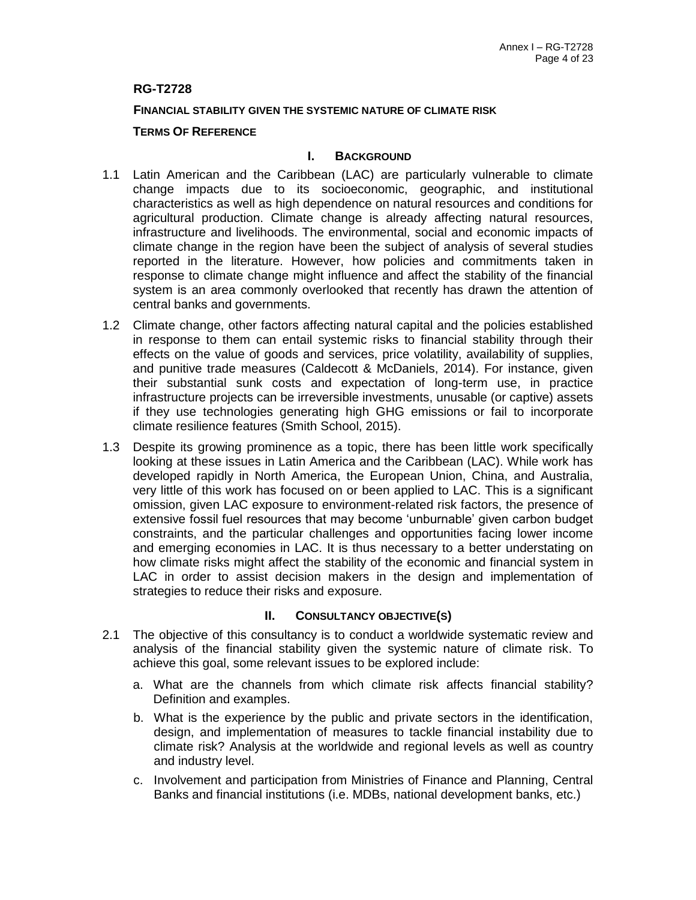## **RG-T2728**

### **FINANCIAL STABILITY GIVEN THE SYSTEMIC NATURE OF CLIMATE RISK**

### **TERMS OF REFERENCE**

### **I. BACKGROUND**

- 1.1 Latin American and the Caribbean (LAC) are particularly vulnerable to climate change impacts due to its socioeconomic, geographic, and institutional characteristics as well as high dependence on natural resources and conditions for agricultural production. Climate change is already affecting natural resources, infrastructure and livelihoods. The environmental, social and economic impacts of climate change in the region have been the subject of analysis of several studies reported in the literature. However, how policies and commitments taken in response to climate change might influence and affect the stability of the financial system is an area commonly overlooked that recently has drawn the attention of central banks and governments.
- 1.2 Climate change, other factors affecting natural capital and the policies established in response to them can entail systemic risks to financial stability through their effects on the value of goods and services, price volatility, availability of supplies, and punitive trade measures (Caldecott & McDaniels, 2014). For instance, given their substantial sunk costs and expectation of long-term use, in practice infrastructure projects can be irreversible investments, unusable (or captive) assets if they use technologies generating high GHG emissions or fail to incorporate climate resilience features (Smith School, 2015).
- 1.3 Despite its growing prominence as a topic, there has been little work specifically looking at these issues in Latin America and the Caribbean (LAC). While work has developed rapidly in North America, the European Union, China, and Australia, very little of this work has focused on or been applied to LAC. This is a significant omission, given LAC exposure to environment-related risk factors, the presence of extensive fossil fuel resources that may become 'unburnable' given carbon budget constraints, and the particular challenges and opportunities facing lower income and emerging economies in LAC. It is thus necessary to a better understating on how climate risks might affect the stability of the economic and financial system in LAC in order to assist decision makers in the design and implementation of strategies to reduce their risks and exposure.

- 2.1 The objective of this consultancy is to conduct a worldwide systematic review and analysis of the financial stability given the systemic nature of climate risk. To achieve this goal, some relevant issues to be explored include:
	- a. What are the channels from which climate risk affects financial stability? Definition and examples.
	- b. What is the experience by the public and private sectors in the identification, design, and implementation of measures to tackle financial instability due to climate risk? Analysis at the worldwide and regional levels as well as country and industry level.
	- c. Involvement and participation from Ministries of Finance and Planning, Central Banks and financial institutions (i.e. MDBs, national development banks, etc.)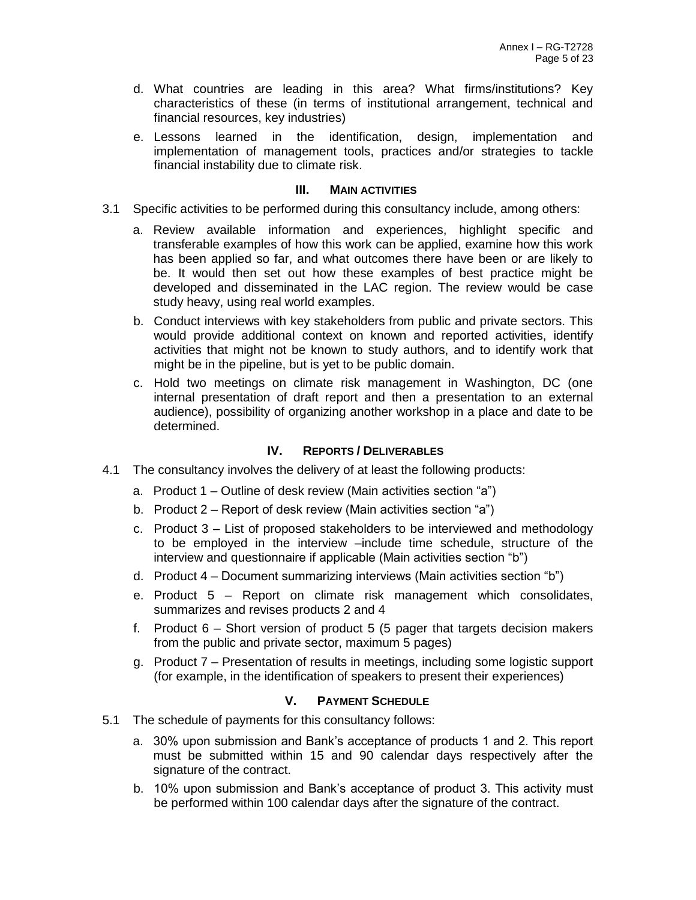- d. What countries are leading in this area? What firms/institutions? Key characteristics of these (in terms of institutional arrangement, technical and financial resources, key industries)
- e. Lessons learned in the identification, design, implementation and implementation of management tools, practices and/or strategies to tackle financial instability due to climate risk.

- 3.1 Specific activities to be performed during this consultancy include, among others:
	- a. Review available information and experiences, highlight specific and transferable examples of how this work can be applied, examine how this work has been applied so far, and what outcomes there have been or are likely to be. It would then set out how these examples of best practice might be developed and disseminated in the LAC region. The review would be case study heavy, using real world examples.
	- b. Conduct interviews with key stakeholders from public and private sectors. This would provide additional context on known and reported activities, identify activities that might not be known to study authors, and to identify work that might be in the pipeline, but is yet to be public domain.
	- c. Hold two meetings on climate risk management in Washington, DC (one internal presentation of draft report and then a presentation to an external audience), possibility of organizing another workshop in a place and date to be determined.

# **IV. REPORTS / DELIVERABLES**

- 4.1 The consultancy involves the delivery of at least the following products:
	- a. Product 1 Outline of desk review (Main activities section "a")
	- b. Product 2 Report of desk review (Main activities section "a")
	- c. Product 3 List of proposed stakeholders to be interviewed and methodology to be employed in the interview –include time schedule, structure of the interview and questionnaire if applicable (Main activities section "b")
	- d. Product 4 Document summarizing interviews (Main activities section "b")
	- e. Product 5 Report on climate risk management which consolidates, summarizes and revises products 2 and 4
	- f. Product 6 Short version of product 5 (5 pager that targets decision makers from the public and private sector, maximum 5 pages)
	- g. Product 7 Presentation of results in meetings, including some logistic support (for example, in the identification of speakers to present their experiences)

- 5.1 The schedule of payments for this consultancy follows:
	- a. 30% upon submission and Bank's acceptance of products 1 and 2. This report must be submitted within 15 and 90 calendar days respectively after the signature of the contract.
	- b. 10% upon submission and Bank's acceptance of product 3. This activity must be performed within 100 calendar days after the signature of the contract.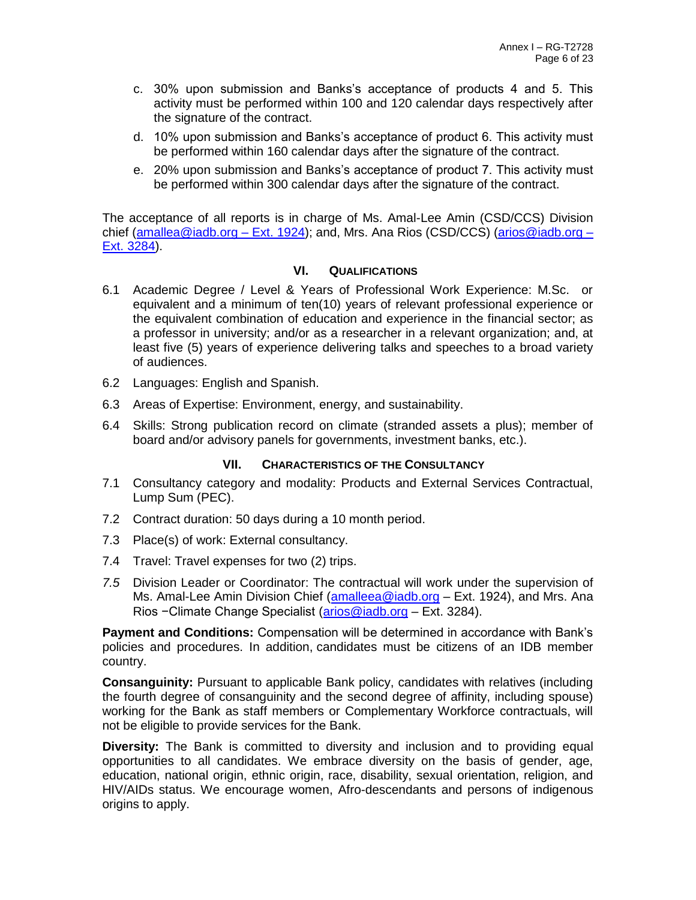- c. 30% upon submission and Banks's acceptance of products 4 and 5. This activity must be performed within 100 and 120 calendar days respectively after the signature of the contract.
- d. 10% upon submission and Banks's acceptance of product 6. This activity must be performed within 160 calendar days after the signature of the contract.
- e. 20% upon submission and Banks's acceptance of product 7. This activity must be performed within 300 calendar days after the signature of the contract.

The acceptance of all reports is in charge of Ms. Amal-Lee Amin (CSD/CCS) Division chief [\(amallea@iadb.org](mailto:amallea@iadb.org) – Ext. 1924); and, Mrs. Ana Rios (CSD/CCS) [\(arios@iadb.org](mailto:arios@iadb.org) – Ext. 3284).

### **VI. QUALIFICATIONS**

- 6.1 Academic Degree / Level & Years of Professional Work Experience: M.Sc. or equivalent and a minimum of ten(10) years of relevant professional experience or the equivalent combination of education and experience in the financial sector; as a professor in university; and/or as a researcher in a relevant organization; and, at least five (5) years of experience delivering talks and speeches to a broad variety of audiences.
- 6.2 Languages: English and Spanish.
- 6.3 Areas of Expertise: Environment, energy, and sustainability.
- 6.4 Skills: Strong publication record on climate (stranded assets a plus); member of board and/or advisory panels for governments, investment banks, etc.).

# **VII. CHARACTERISTICS OF THE CONSULTANCY**

- 7.1 Consultancy category and modality: Products and External Services Contractual, Lump Sum (PEC).
- 7.2 Contract duration: 50 days during a 10 month period.
- 7.3 Place(s) of work: External consultancy.
- 7.4 Travel: Travel expenses for two (2) trips.
- *7.5* Division Leader or Coordinator: The contractual will work under the supervision of Ms. Amal-Lee Amin Division Chief [\(amalleea@iadb.org](mailto:amalleea@iadb.org) – Ext. 1924), and Mrs. Ana Rios −Climate Change Specialist [\(arios@iadb.org](mailto:arios@iadb.org) – Ext. 3284).

**Payment and Conditions:** Compensation will be determined in accordance with Bank's policies and procedures. In addition, candidates must be citizens of an IDB member country.

**Consanguinity:** Pursuant to applicable Bank policy, candidates with relatives (including the fourth degree of consanguinity and the second degree of affinity, including spouse) working for the Bank as staff members or Complementary Workforce contractuals, will not be eligible to provide services for the Bank.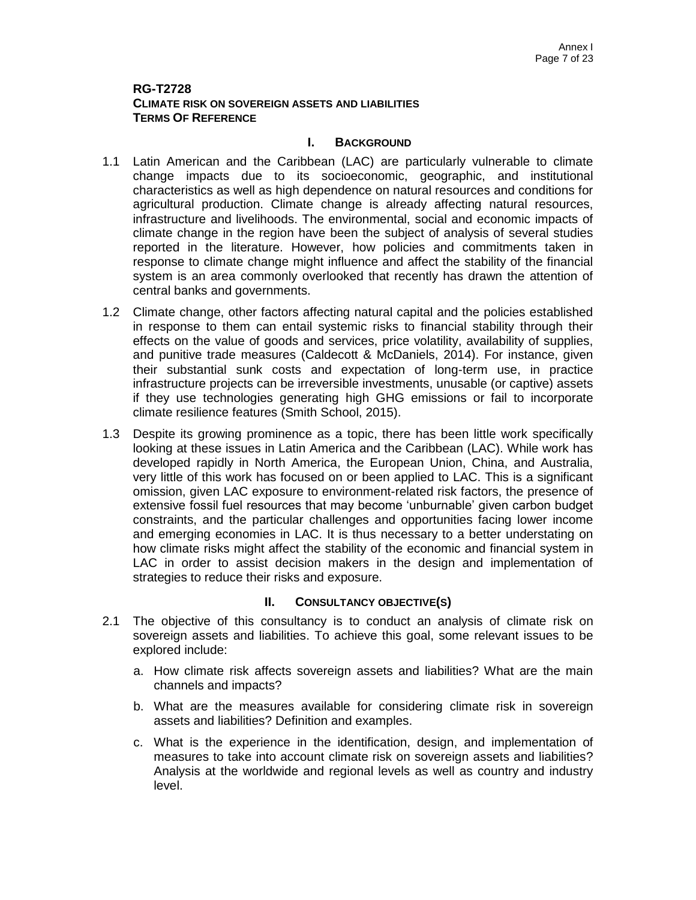## **RG-T2728 CLIMATE RISK ON SOVEREIGN ASSETS AND LIABILITIES TERMS OF REFERENCE**

## **I. BACKGROUND**

- 1.1 Latin American and the Caribbean (LAC) are particularly vulnerable to climate change impacts due to its socioeconomic, geographic, and institutional characteristics as well as high dependence on natural resources and conditions for agricultural production. Climate change is already affecting natural resources, infrastructure and livelihoods. The environmental, social and economic impacts of climate change in the region have been the subject of analysis of several studies reported in the literature. However, how policies and commitments taken in response to climate change might influence and affect the stability of the financial system is an area commonly overlooked that recently has drawn the attention of central banks and governments.
- 1.2 Climate change, other factors affecting natural capital and the policies established in response to them can entail systemic risks to financial stability through their effects on the value of goods and services, price volatility, availability of supplies, and punitive trade measures (Caldecott & McDaniels, 2014). For instance, given their substantial sunk costs and expectation of long-term use, in practice infrastructure projects can be irreversible investments, unusable (or captive) assets if they use technologies generating high GHG emissions or fail to incorporate climate resilience features (Smith School, 2015).
- 1.3 Despite its growing prominence as a topic, there has been little work specifically looking at these issues in Latin America and the Caribbean (LAC). While work has developed rapidly in North America, the European Union, China, and Australia, very little of this work has focused on or been applied to LAC. This is a significant omission, given LAC exposure to environment-related risk factors, the presence of extensive fossil fuel resources that may become 'unburnable' given carbon budget constraints, and the particular challenges and opportunities facing lower income and emerging economies in LAC. It is thus necessary to a better understating on how climate risks might affect the stability of the economic and financial system in LAC in order to assist decision makers in the design and implementation of strategies to reduce their risks and exposure.

- 2.1 The objective of this consultancy is to conduct an analysis of climate risk on sovereign assets and liabilities. To achieve this goal, some relevant issues to be explored include:
	- a. How climate risk affects sovereign assets and liabilities? What are the main channels and impacts?
	- b. What are the measures available for considering climate risk in sovereign assets and liabilities? Definition and examples.
	- c. What is the experience in the identification, design, and implementation of measures to take into account climate risk on sovereign assets and liabilities? Analysis at the worldwide and regional levels as well as country and industry level.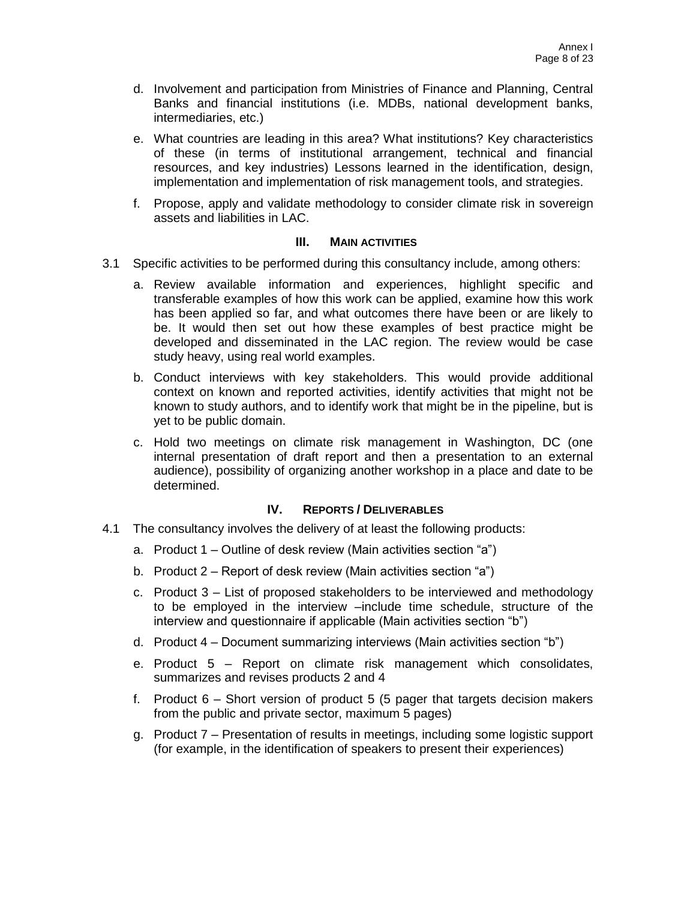- d. Involvement and participation from Ministries of Finance and Planning, Central Banks and financial institutions (i.e. MDBs, national development banks, intermediaries, etc.)
- e. What countries are leading in this area? What institutions? Key characteristics of these (in terms of institutional arrangement, technical and financial resources, and key industries) Lessons learned in the identification, design, implementation and implementation of risk management tools, and strategies.
- f. Propose, apply and validate methodology to consider climate risk in sovereign assets and liabilities in LAC.

- 3.1 Specific activities to be performed during this consultancy include, among others:
	- a. Review available information and experiences, highlight specific and transferable examples of how this work can be applied, examine how this work has been applied so far, and what outcomes there have been or are likely to be. It would then set out how these examples of best practice might be developed and disseminated in the LAC region. The review would be case study heavy, using real world examples.
	- b. Conduct interviews with key stakeholders. This would provide additional context on known and reported activities, identify activities that might not be known to study authors, and to identify work that might be in the pipeline, but is yet to be public domain.
	- c. Hold two meetings on climate risk management in Washington, DC (one internal presentation of draft report and then a presentation to an external audience), possibility of organizing another workshop in a place and date to be determined.

# **IV. REPORTS / DELIVERABLES**

- 4.1 The consultancy involves the delivery of at least the following products:
	- a. Product 1 Outline of desk review (Main activities section "a")
	- b. Product 2 Report of desk review (Main activities section "a")
	- c. Product 3 List of proposed stakeholders to be interviewed and methodology to be employed in the interview –include time schedule, structure of the interview and questionnaire if applicable (Main activities section "b")
	- d. Product 4 Document summarizing interviews (Main activities section "b")
	- e. Product 5 Report on climate risk management which consolidates, summarizes and revises products 2 and 4
	- f. Product 6 Short version of product 5 (5 pager that targets decision makers from the public and private sector, maximum 5 pages)
	- g. Product 7 Presentation of results in meetings, including some logistic support (for example, in the identification of speakers to present their experiences)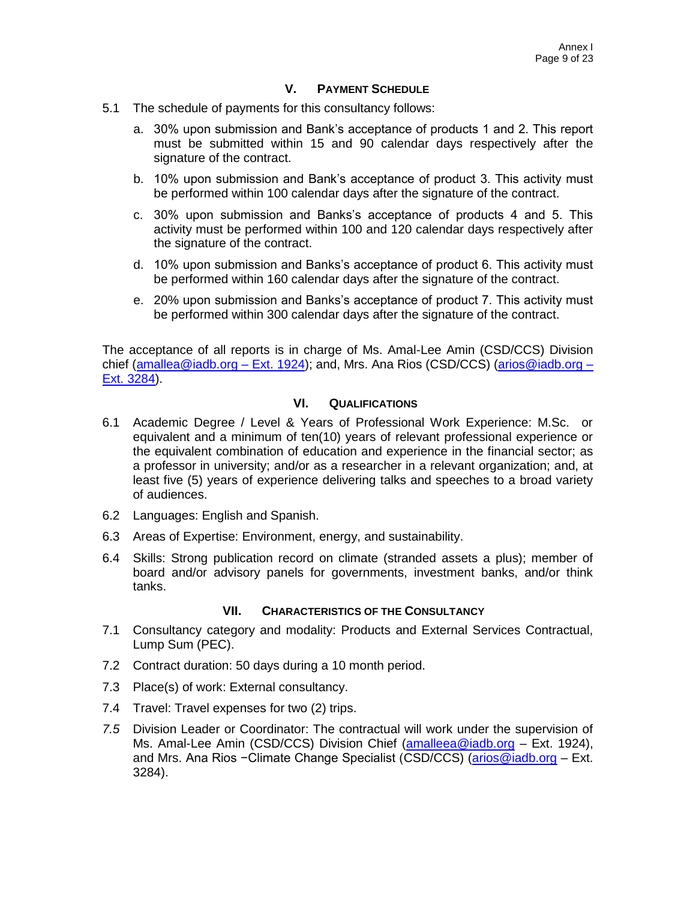## **V. PAYMENT SCHEDULE**

- 5.1 The schedule of payments for this consultancy follows:
	- a. 30% upon submission and Bank's acceptance of products 1 and 2. This report must be submitted within 15 and 90 calendar days respectively after the signature of the contract.
	- b. 10% upon submission and Bank's acceptance of product 3. This activity must be performed within 100 calendar days after the signature of the contract.
	- c. 30% upon submission and Banks's acceptance of products 4 and 5. This activity must be performed within 100 and 120 calendar days respectively after the signature of the contract.
	- d. 10% upon submission and Banks's acceptance of product 6. This activity must be performed within 160 calendar days after the signature of the contract.
	- e. 20% upon submission and Banks's acceptance of product 7. This activity must be performed within 300 calendar days after the signature of the contract.

The acceptance of all reports is in charge of Ms. Amal-Lee Amin (CSD/CCS) Division chief [\(amallea@iadb.org](mailto:amallea@iadb.org) – Ext. 1924); and, Mrs. Ana Rios (CSD/CCS) [\(arios@iadb.org](mailto:arios@iadb.org) – Ext. 3284).

## **VI. QUALIFICATIONS**

- 6.1 Academic Degree / Level & Years of Professional Work Experience: M.Sc. or equivalent and a minimum of ten(10) years of relevant professional experience or the equivalent combination of education and experience in the financial sector; as a professor in university; and/or as a researcher in a relevant organization; and, at least five (5) years of experience delivering talks and speeches to a broad variety of audiences.
- 6.2 Languages: English and Spanish.
- 6.3 Areas of Expertise: Environment, energy, and sustainability.
- 6.4 Skills: Strong publication record on climate (stranded assets a plus); member of board and/or advisory panels for governments, investment banks, and/or think tanks.

### **VII. CHARACTERISTICS OF THE CONSULTANCY**

- 7.1 Consultancy category and modality: Products and External Services Contractual, Lump Sum (PEC).
- 7.2 Contract duration: 50 days during a 10 month period.
- 7.3 Place(s) of work: External consultancy.
- 7.4 Travel: Travel expenses for two (2) trips.
- *7.5* Division Leader or Coordinator: The contractual will work under the supervision of Ms. Amal-Lee Amin (CSD/CCS) Division Chief [\(amalleea@iadb.org](mailto:amalleea@iadb.org) - Ext. 1924), and Mrs. Ana Rios −Climate Change Specialist (CSD/CCS) [\(arios@iadb.org](mailto:arios@iadb.org) – Ext. 3284).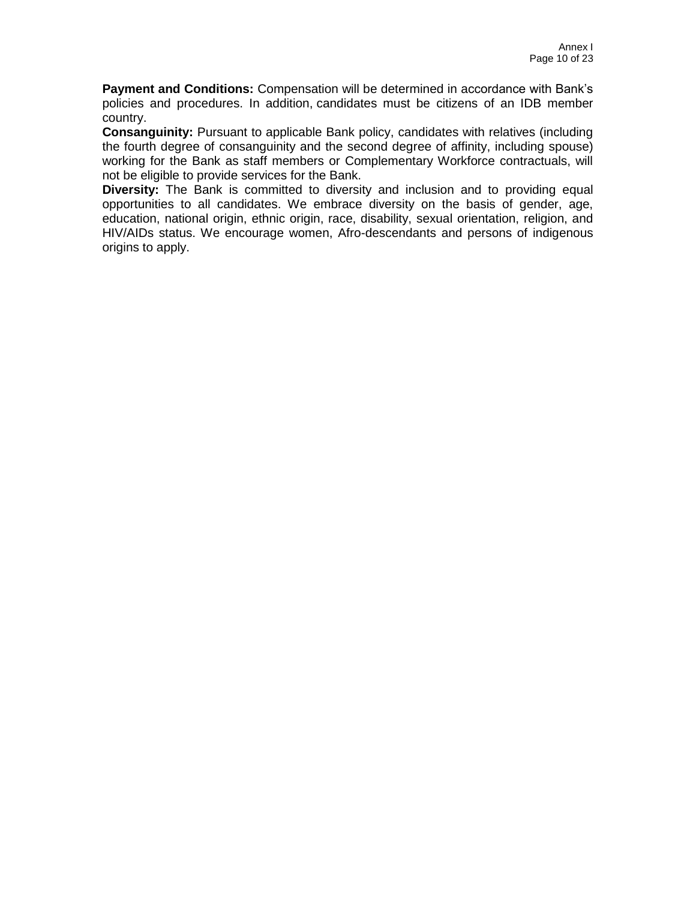**Payment and Conditions:** Compensation will be determined in accordance with Bank's policies and procedures. In addition, candidates must be citizens of an IDB member country.

**Consanguinity:** Pursuant to applicable Bank policy, candidates with relatives (including the fourth degree of consanguinity and the second degree of affinity, including spouse) working for the Bank as staff members or Complementary Workforce contractuals, will not be eligible to provide services for the Bank.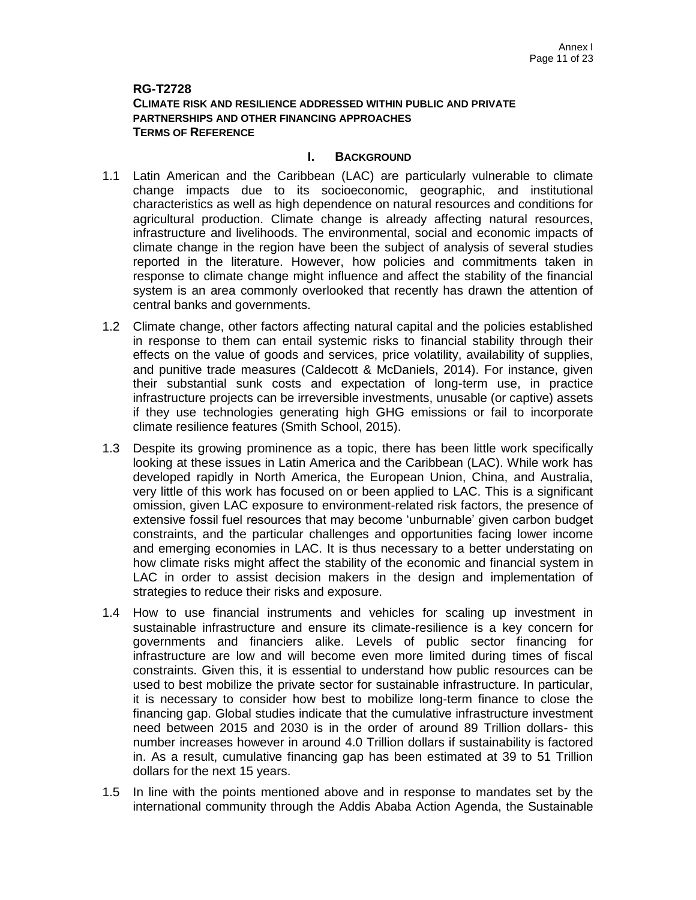## **RG-T2728 CLIMATE RISK AND RESILIENCE ADDRESSED WITHIN PUBLIC AND PRIVATE PARTNERSHIPS AND OTHER FINANCING APPROACHES TERMS OF REFERENCE**

### **I. BACKGROUND**

- 1.1 Latin American and the Caribbean (LAC) are particularly vulnerable to climate change impacts due to its socioeconomic, geographic, and institutional characteristics as well as high dependence on natural resources and conditions for agricultural production. Climate change is already affecting natural resources, infrastructure and livelihoods. The environmental, social and economic impacts of climate change in the region have been the subject of analysis of several studies reported in the literature. However, how policies and commitments taken in response to climate change might influence and affect the stability of the financial system is an area commonly overlooked that recently has drawn the attention of central banks and governments.
- 1.2 Climate change, other factors affecting natural capital and the policies established in response to them can entail systemic risks to financial stability through their effects on the value of goods and services, price volatility, availability of supplies, and punitive trade measures (Caldecott & McDaniels, 2014). For instance, given their substantial sunk costs and expectation of long-term use, in practice infrastructure projects can be irreversible investments, unusable (or captive) assets if they use technologies generating high GHG emissions or fail to incorporate climate resilience features (Smith School, 2015).
- 1.3 Despite its growing prominence as a topic, there has been little work specifically looking at these issues in Latin America and the Caribbean (LAC). While work has developed rapidly in North America, the European Union, China, and Australia, very little of this work has focused on or been applied to LAC. This is a significant omission, given LAC exposure to environment-related risk factors, the presence of extensive fossil fuel resources that may become 'unburnable' given carbon budget constraints, and the particular challenges and opportunities facing lower income and emerging economies in LAC. It is thus necessary to a better understating on how climate risks might affect the stability of the economic and financial system in LAC in order to assist decision makers in the design and implementation of strategies to reduce their risks and exposure.
- 1.4 How to use financial instruments and vehicles for scaling up investment in sustainable infrastructure and ensure its climate-resilience is a key concern for governments and financiers alike. Levels of public sector financing for infrastructure are low and will become even more limited during times of fiscal constraints. Given this, it is essential to understand how public resources can be used to best mobilize the private sector for sustainable infrastructure. In particular, it is necessary to consider how best to mobilize long-term finance to close the financing gap. Global studies indicate that the cumulative infrastructure investment need between 2015 and 2030 is in the order of around 89 Trillion dollars- this number increases however in around 4.0 Trillion dollars if sustainability is factored in. As a result, cumulative financing gap has been estimated at 39 to 51 Trillion dollars for the next 15 years.
- 1.5 In line with the points mentioned above and in response to mandates set by the international community through the Addis Ababa Action Agenda, the Sustainable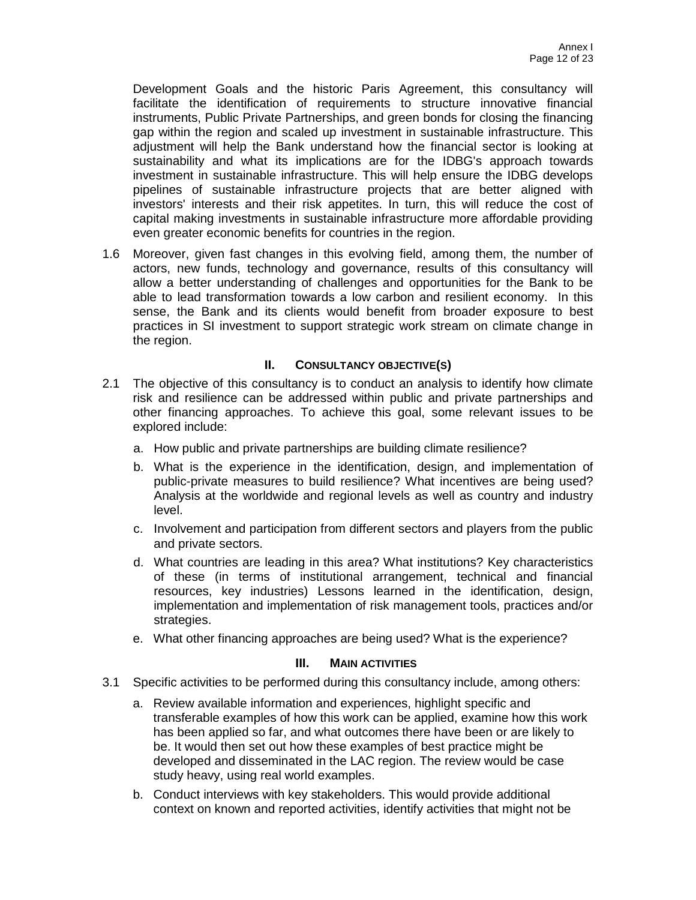Development Goals and the historic Paris Agreement, this consultancy will facilitate the identification of requirements to structure innovative financial instruments, Public Private Partnerships, and green bonds for closing the financing gap within the region and scaled up investment in sustainable infrastructure. This adjustment will help the Bank understand how the financial sector is looking at sustainability and what its implications are for the IDBG's approach towards investment in sustainable infrastructure. This will help ensure the IDBG develops pipelines of sustainable infrastructure projects that are better aligned with investors' interests and their risk appetites. In turn, this will reduce the cost of capital making investments in sustainable infrastructure more affordable providing even greater economic benefits for countries in the region.

1.6 Moreover, given fast changes in this evolving field, among them, the number of actors, new funds, technology and governance, results of this consultancy will allow a better understanding of challenges and opportunities for the Bank to be able to lead transformation towards a low carbon and resilient economy. In this sense, the Bank and its clients would benefit from broader exposure to best practices in SI investment to support strategic work stream on climate change in the region.

## **II. CONSULTANCY OBJECTIVE(S)**

- 2.1 The objective of this consultancy is to conduct an analysis to identify how climate risk and resilience can be addressed within public and private partnerships and other financing approaches. To achieve this goal, some relevant issues to be explored include:
	- a. How public and private partnerships are building climate resilience?
	- b. What is the experience in the identification, design, and implementation of public-private measures to build resilience? What incentives are being used? Analysis at the worldwide and regional levels as well as country and industry level.
	- c. Involvement and participation from different sectors and players from the public and private sectors.
	- d. What countries are leading in this area? What institutions? Key characteristics of these (in terms of institutional arrangement, technical and financial resources, key industries) Lessons learned in the identification, design, implementation and implementation of risk management tools, practices and/or strategies.
	- e. What other financing approaches are being used? What is the experience?

### **III. MAIN ACTIVITIES**

- 3.1 Specific activities to be performed during this consultancy include, among others:
	- a. Review available information and experiences, highlight specific and transferable examples of how this work can be applied, examine how this work has been applied so far, and what outcomes there have been or are likely to be. It would then set out how these examples of best practice might be developed and disseminated in the LAC region. The review would be case study heavy, using real world examples.
	- b. Conduct interviews with key stakeholders. This would provide additional context on known and reported activities, identify activities that might not be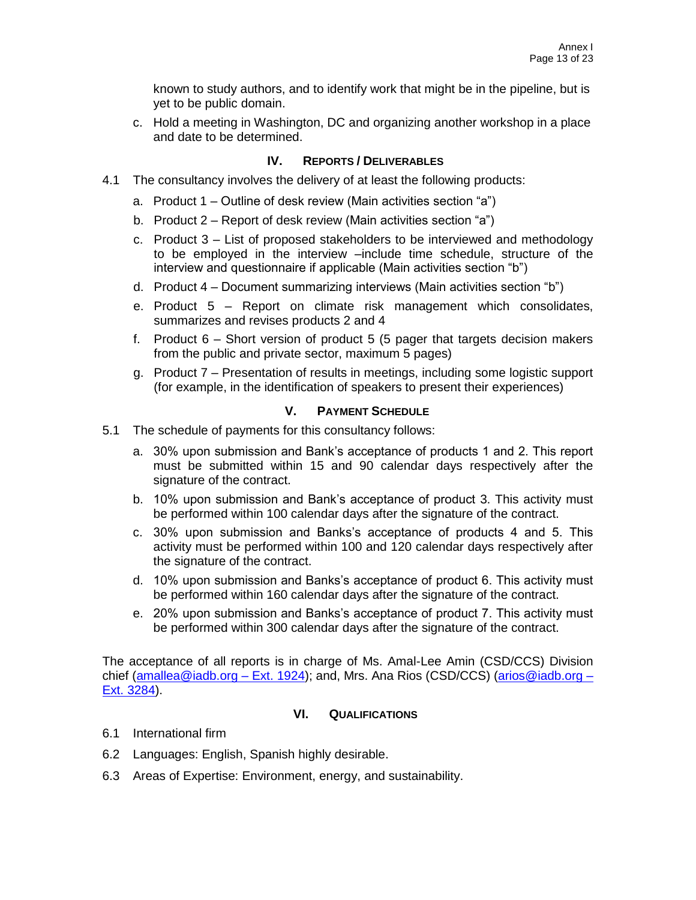known to study authors, and to identify work that might be in the pipeline, but is yet to be public domain.

c. Hold a meeting in Washington, DC and organizing another workshop in a place and date to be determined.

# **IV. REPORTS / DELIVERABLES**

- 4.1 The consultancy involves the delivery of at least the following products:
	- a. Product 1 Outline of desk review (Main activities section "a")
	- b. Product 2 Report of desk review (Main activities section "a")
	- c. Product 3 List of proposed stakeholders to be interviewed and methodology to be employed in the interview –include time schedule, structure of the interview and questionnaire if applicable (Main activities section "b")
	- d. Product 4 Document summarizing interviews (Main activities section "b")
	- e. Product 5 Report on climate risk management which consolidates, summarizes and revises products 2 and 4
	- f. Product 6 Short version of product 5 (5 pager that targets decision makers from the public and private sector, maximum 5 pages)
	- g. Product 7 Presentation of results in meetings, including some logistic support (for example, in the identification of speakers to present their experiences)

# **V. PAYMENT SCHEDULE**

- 5.1 The schedule of payments for this consultancy follows:
	- a. 30% upon submission and Bank's acceptance of products 1 and 2. This report must be submitted within 15 and 90 calendar days respectively after the signature of the contract.
	- b. 10% upon submission and Bank's acceptance of product 3. This activity must be performed within 100 calendar days after the signature of the contract.
	- c. 30% upon submission and Banks's acceptance of products 4 and 5. This activity must be performed within 100 and 120 calendar days respectively after the signature of the contract.
	- d. 10% upon submission and Banks's acceptance of product 6. This activity must be performed within 160 calendar days after the signature of the contract.
	- e. 20% upon submission and Banks's acceptance of product 7. This activity must be performed within 300 calendar days after the signature of the contract.

The acceptance of all reports is in charge of Ms. Amal-Lee Amin (CSD/CCS) Division chief [\(amallea@iadb.org](mailto:amallea@iadb.org) – Ext. 1924); and, Mrs. Ana Rios (CSD/CCS) [\(arios@iadb.org](mailto:arios@iadb.org) – Ext. 3284).

# **VI. QUALIFICATIONS**

- 6.1 International firm
- 6.2 Languages: English, Spanish highly desirable.
- 6.3 Areas of Expertise: Environment, energy, and sustainability.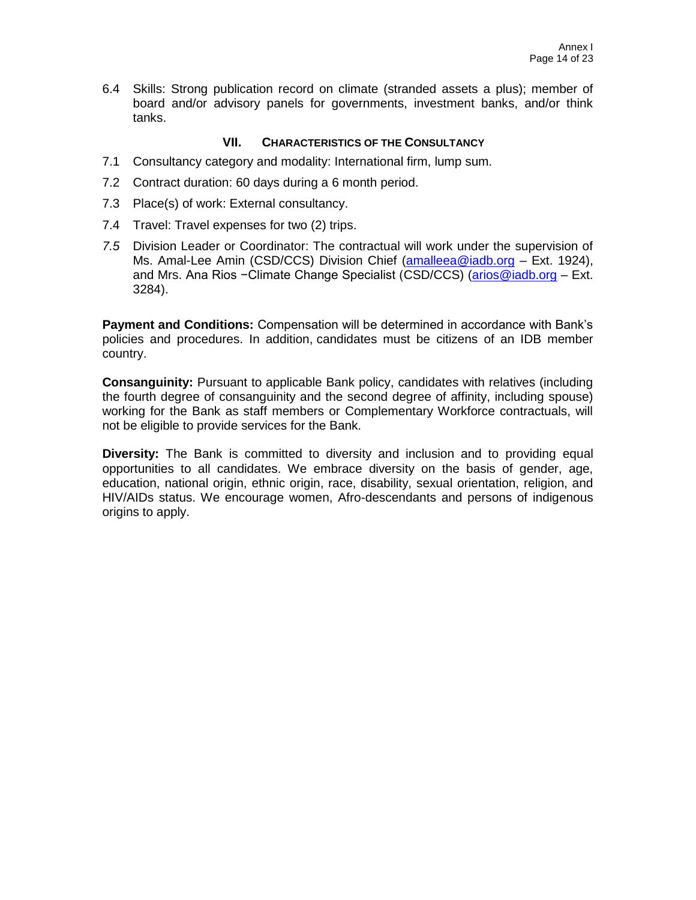6.4 Skills: Strong publication record on climate (stranded assets a plus); member of board and/or advisory panels for governments, investment banks, and/or think tanks.

## **VII. CHARACTERISTICS OF THE CONSULTANCY**

- 7.1 Consultancy category and modality: International firm, lump sum.
- 7.2 Contract duration: 60 days during a 6 month period.
- 7.3 Place(s) of work: External consultancy.
- 7.4 Travel: Travel expenses for two (2) trips.
- *7.5* Division Leader or Coordinator: The contractual will work under the supervision of Ms. Amal-Lee Amin (CSD/CCS) Division Chief [\(amalleea@iadb.org](mailto:amalleea@iadb.org) – Ext. 1924), and Mrs. Ana Rios −Climate Change Specialist (CSD/CCS) [\(arios@iadb.org](mailto:arios@iadb.org) – Ext. 3284).

**Payment and Conditions:** Compensation will be determined in accordance with Bank's policies and procedures. In addition, candidates must be citizens of an IDB member country.

**Consanguinity:** Pursuant to applicable Bank policy, candidates with relatives (including the fourth degree of consanguinity and the second degree of affinity, including spouse) working for the Bank as staff members or Complementary Workforce contractuals, will not be eligible to provide services for the Bank.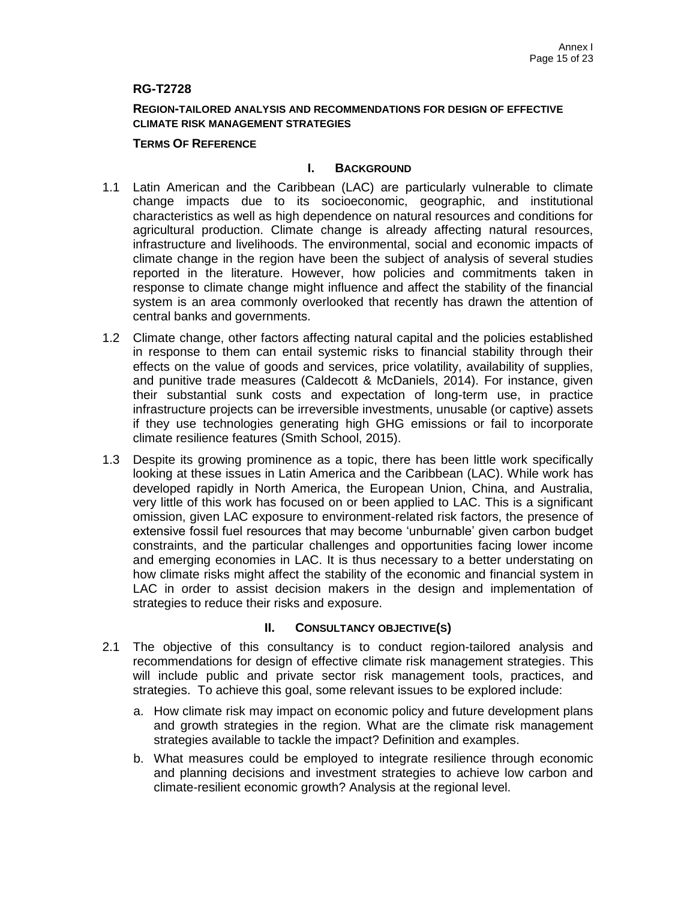## **RG-T2728**

### **REGION-TAILORED ANALYSIS AND RECOMMENDATIONS FOR DESIGN OF EFFECTIVE CLIMATE RISK MANAGEMENT STRATEGIES**

### **TERMS OF REFERENCE**

## **I. BACKGROUND**

- 1.1 Latin American and the Caribbean (LAC) are particularly vulnerable to climate change impacts due to its socioeconomic, geographic, and institutional characteristics as well as high dependence on natural resources and conditions for agricultural production. Climate change is already affecting natural resources, infrastructure and livelihoods. The environmental, social and economic impacts of climate change in the region have been the subject of analysis of several studies reported in the literature. However, how policies and commitments taken in response to climate change might influence and affect the stability of the financial system is an area commonly overlooked that recently has drawn the attention of central banks and governments.
- 1.2 Climate change, other factors affecting natural capital and the policies established in response to them can entail systemic risks to financial stability through their effects on the value of goods and services, price volatility, availability of supplies, and punitive trade measures (Caldecott & McDaniels, 2014). For instance, given their substantial sunk costs and expectation of long-term use, in practice infrastructure projects can be irreversible investments, unusable (or captive) assets if they use technologies generating high GHG emissions or fail to incorporate climate resilience features (Smith School, 2015).
- 1.3 Despite its growing prominence as a topic, there has been little work specifically looking at these issues in Latin America and the Caribbean (LAC). While work has developed rapidly in North America, the European Union, China, and Australia, very little of this work has focused on or been applied to LAC. This is a significant omission, given LAC exposure to environment-related risk factors, the presence of extensive fossil fuel resources that may become 'unburnable' given carbon budget constraints, and the particular challenges and opportunities facing lower income and emerging economies in LAC. It is thus necessary to a better understating on how climate risks might affect the stability of the economic and financial system in LAC in order to assist decision makers in the design and implementation of strategies to reduce their risks and exposure.

- 2.1 The objective of this consultancy is to conduct region-tailored analysis and recommendations for design of effective climate risk management strategies. This will include public and private sector risk management tools, practices, and strategies. To achieve this goal, some relevant issues to be explored include:
	- a. How climate risk may impact on economic policy and future development plans and growth strategies in the region. What are the climate risk management strategies available to tackle the impact? Definition and examples.
	- b. What measures could be employed to integrate resilience through economic and planning decisions and investment strategies to achieve low carbon and climate-resilient economic growth? Analysis at the regional level.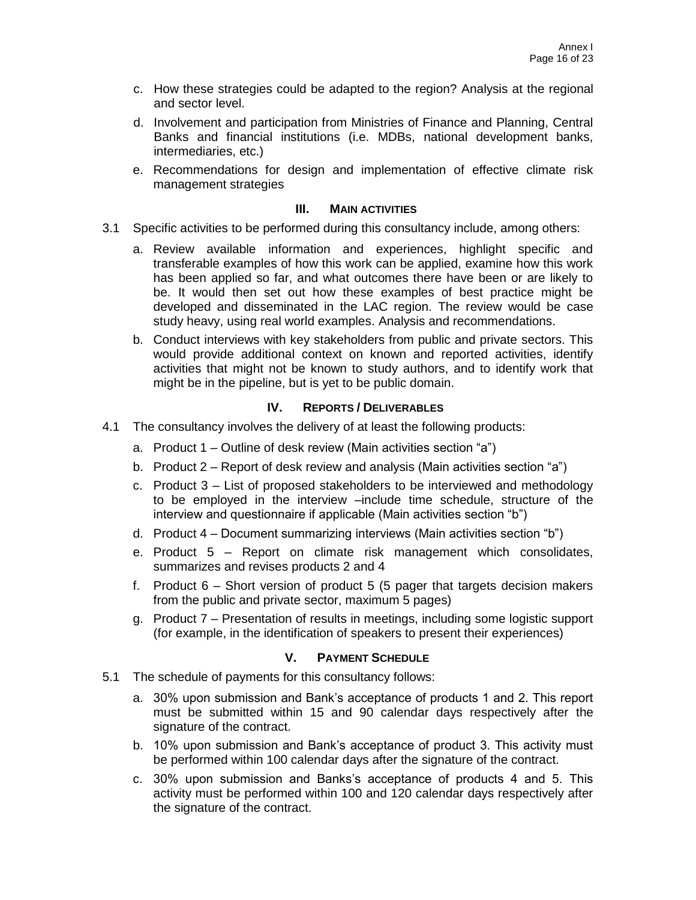- c. How these strategies could be adapted to the region? Analysis at the regional and sector level.
- d. Involvement and participation from Ministries of Finance and Planning, Central Banks and financial institutions (i.e. MDBs, national development banks, intermediaries, etc.)
- e. Recommendations for design and implementation of effective climate risk management strategies

- 3.1 Specific activities to be performed during this consultancy include, among others:
	- a. Review available information and experiences, highlight specific and transferable examples of how this work can be applied, examine how this work has been applied so far, and what outcomes there have been or are likely to be. It would then set out how these examples of best practice might be developed and disseminated in the LAC region. The review would be case study heavy, using real world examples. Analysis and recommendations.
	- b. Conduct interviews with key stakeholders from public and private sectors. This would provide additional context on known and reported activities, identify activities that might not be known to study authors, and to identify work that might be in the pipeline, but is yet to be public domain.

# **IV. REPORTS / DELIVERABLES**

- 4.1 The consultancy involves the delivery of at least the following products:
	- a. Product 1 Outline of desk review (Main activities section "a")
	- b. Product 2 Report of desk review and analysis (Main activities section "a")
	- c. Product 3 List of proposed stakeholders to be interviewed and methodology to be employed in the interview –include time schedule, structure of the interview and questionnaire if applicable (Main activities section "b")
	- d. Product 4 Document summarizing interviews (Main activities section "b")
	- e. Product 5 Report on climate risk management which consolidates, summarizes and revises products 2 and 4
	- f. Product 6 Short version of product 5 (5 pager that targets decision makers from the public and private sector, maximum 5 pages)
	- g. Product 7 Presentation of results in meetings, including some logistic support (for example, in the identification of speakers to present their experiences)

- 5.1 The schedule of payments for this consultancy follows:
	- a. 30% upon submission and Bank's acceptance of products 1 and 2. This report must be submitted within 15 and 90 calendar days respectively after the signature of the contract.
	- b. 10% upon submission and Bank's acceptance of product 3. This activity must be performed within 100 calendar days after the signature of the contract.
	- c. 30% upon submission and Banks's acceptance of products 4 and 5. This activity must be performed within 100 and 120 calendar days respectively after the signature of the contract.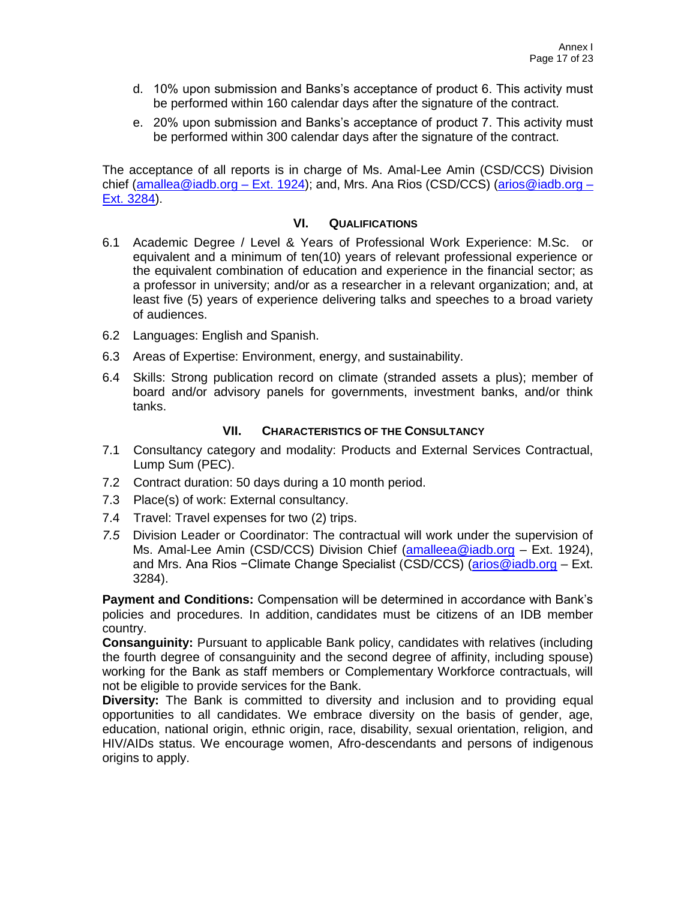- d. 10% upon submission and Banks's acceptance of product 6. This activity must be performed within 160 calendar days after the signature of the contract.
- e. 20% upon submission and Banks's acceptance of product 7. This activity must be performed within 300 calendar days after the signature of the contract.

The acceptance of all reports is in charge of Ms. Amal-Lee Amin (CSD/CCS) Division chief [\(amallea@iadb.org](mailto:amallea@iadb.org) – Ext. 1924); and, Mrs. Ana Rios (CSD/CCS) [\(arios@iadb.org](mailto:arios@iadb.org) – Ext. 3284).

## **VI. QUALIFICATIONS**

- 6.1 Academic Degree / Level & Years of Professional Work Experience: M.Sc. or equivalent and a minimum of ten(10) years of relevant professional experience or the equivalent combination of education and experience in the financial sector; as a professor in university; and/or as a researcher in a relevant organization; and, at least five (5) years of experience delivering talks and speeches to a broad variety of audiences.
- 6.2 Languages: English and Spanish.
- 6.3 Areas of Expertise: Environment, energy, and sustainability.
- 6.4 Skills: Strong publication record on climate (stranded assets a plus); member of board and/or advisory panels for governments, investment banks, and/or think tanks.

## **VII. CHARACTERISTICS OF THE CONSULTANCY**

- 7.1 Consultancy category and modality: Products and External Services Contractual, Lump Sum (PEC).
- 7.2 Contract duration: 50 days during a 10 month period.
- 7.3 Place(s) of work: External consultancy.
- 7.4 Travel: Travel expenses for two (2) trips.
- *7.5* Division Leader or Coordinator: The contractual will work under the supervision of Ms. Amal-Lee Amin (CSD/CCS) Division Chief [\(amalleea@iadb.org](mailto:amalleea@iadb.org) - Ext. 1924), and Mrs. Ana Rios −Climate Change Specialist (CSD/CCS) [\(arios@iadb.org](mailto:arios@iadb.org) – Ext. 3284).

**Payment and Conditions:** Compensation will be determined in accordance with Bank's policies and procedures. In addition, candidates must be citizens of an IDB member country.

**Consanguinity:** Pursuant to applicable Bank policy, candidates with relatives (including the fourth degree of consanguinity and the second degree of affinity, including spouse) working for the Bank as staff members or Complementary Workforce contractuals, will not be eligible to provide services for the Bank.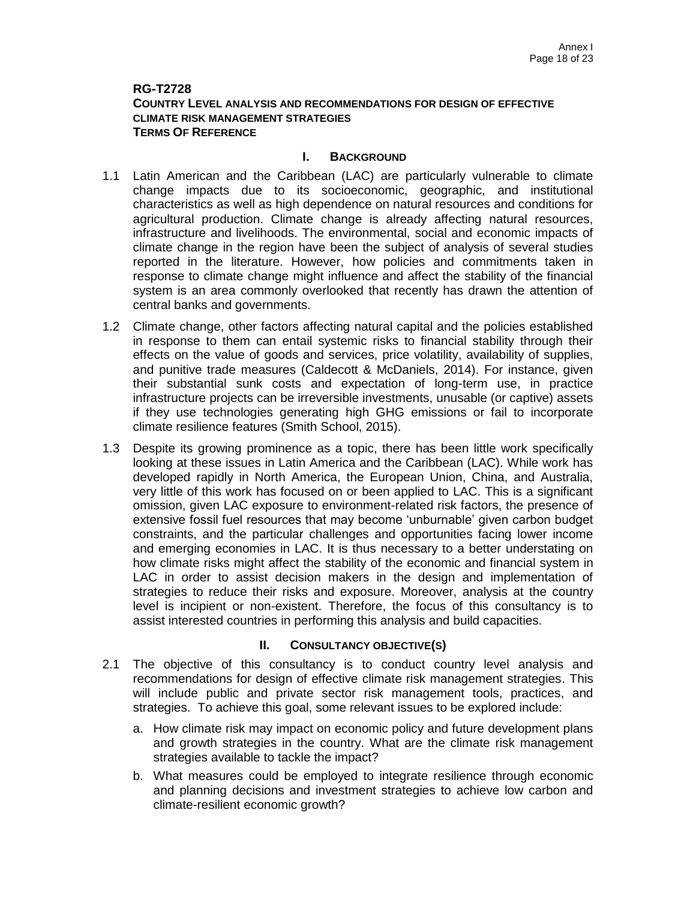## **RG-T2728 COUNTRY LEVEL ANALYSIS AND RECOMMENDATIONS FOR DESIGN OF EFFECTIVE CLIMATE RISK MANAGEMENT STRATEGIES TERMS OF REFERENCE**

### **I. BACKGROUND**

- 1.1 Latin American and the Caribbean (LAC) are particularly vulnerable to climate change impacts due to its socioeconomic, geographic, and institutional characteristics as well as high dependence on natural resources and conditions for agricultural production. Climate change is already affecting natural resources, infrastructure and livelihoods. The environmental, social and economic impacts of climate change in the region have been the subject of analysis of several studies reported in the literature. However, how policies and commitments taken in response to climate change might influence and affect the stability of the financial system is an area commonly overlooked that recently has drawn the attention of central banks and governments.
- 1.2 Climate change, other factors affecting natural capital and the policies established in response to them can entail systemic risks to financial stability through their effects on the value of goods and services, price volatility, availability of supplies, and punitive trade measures (Caldecott & McDaniels, 2014). For instance, given their substantial sunk costs and expectation of long-term use, in practice infrastructure projects can be irreversible investments, unusable (or captive) assets if they use technologies generating high GHG emissions or fail to incorporate climate resilience features (Smith School, 2015).
- 1.3 Despite its growing prominence as a topic, there has been little work specifically looking at these issues in Latin America and the Caribbean (LAC). While work has developed rapidly in North America, the European Union, China, and Australia, very little of this work has focused on or been applied to LAC. This is a significant omission, given LAC exposure to environment-related risk factors, the presence of extensive fossil fuel resources that may become 'unburnable' given carbon budget constraints, and the particular challenges and opportunities facing lower income and emerging economies in LAC. It is thus necessary to a better understating on how climate risks might affect the stability of the economic and financial system in LAC in order to assist decision makers in the design and implementation of strategies to reduce their risks and exposure. Moreover, analysis at the country level is incipient or non-existent. Therefore, the focus of this consultancy is to assist interested countries in performing this analysis and build capacities.

- 2.1 The objective of this consultancy is to conduct country level analysis and recommendations for design of effective climate risk management strategies. This will include public and private sector risk management tools, practices, and strategies. To achieve this goal, some relevant issues to be explored include:
	- a. How climate risk may impact on economic policy and future development plans and growth strategies in the country. What are the climate risk management strategies available to tackle the impact?
	- b. What measures could be employed to integrate resilience through economic and planning decisions and investment strategies to achieve low carbon and climate-resilient economic growth?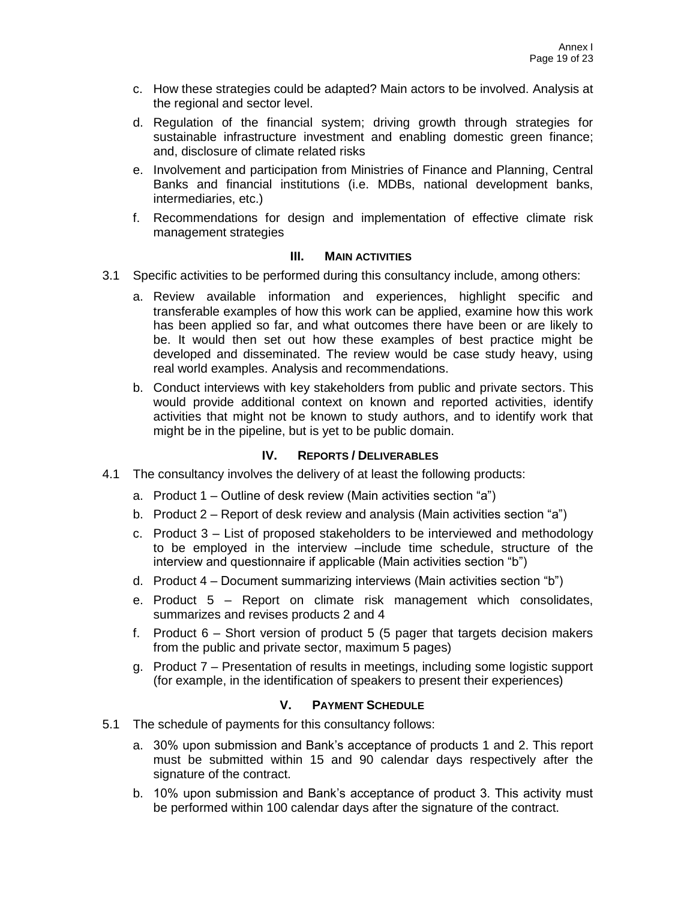- c. How these strategies could be adapted? Main actors to be involved. Analysis at the regional and sector level.
- d. Regulation of the financial system; driving growth through strategies for sustainable infrastructure investment and enabling domestic green finance; and, disclosure of climate related risks
- e. Involvement and participation from Ministries of Finance and Planning, Central Banks and financial institutions (i.e. MDBs, national development banks, intermediaries, etc.)
- f. Recommendations for design and implementation of effective climate risk management strategies

- 3.1 Specific activities to be performed during this consultancy include, among others:
	- a. Review available information and experiences, highlight specific and transferable examples of how this work can be applied, examine how this work has been applied so far, and what outcomes there have been or are likely to be. It would then set out how these examples of best practice might be developed and disseminated. The review would be case study heavy, using real world examples. Analysis and recommendations.
	- b. Conduct interviews with key stakeholders from public and private sectors. This would provide additional context on known and reported activities, identify activities that might not be known to study authors, and to identify work that might be in the pipeline, but is yet to be public domain.

## **IV. REPORTS / DELIVERABLES**

- 4.1 The consultancy involves the delivery of at least the following products:
	- a. Product 1 Outline of desk review (Main activities section "a")
	- b. Product 2 Report of desk review and analysis (Main activities section "a")
	- c. Product 3 List of proposed stakeholders to be interviewed and methodology to be employed in the interview –include time schedule, structure of the interview and questionnaire if applicable (Main activities section "b")
	- d. Product 4 Document summarizing interviews (Main activities section "b")
	- e. Product 5 Report on climate risk management which consolidates, summarizes and revises products 2 and 4
	- f. Product 6 Short version of product 5 (5 pager that targets decision makers from the public and private sector, maximum 5 pages)
	- g. Product 7 Presentation of results in meetings, including some logistic support (for example, in the identification of speakers to present their experiences)

- 5.1 The schedule of payments for this consultancy follows:
	- a. 30% upon submission and Bank's acceptance of products 1 and 2. This report must be submitted within 15 and 90 calendar days respectively after the signature of the contract.
	- b. 10% upon submission and Bank's acceptance of product 3. This activity must be performed within 100 calendar days after the signature of the contract.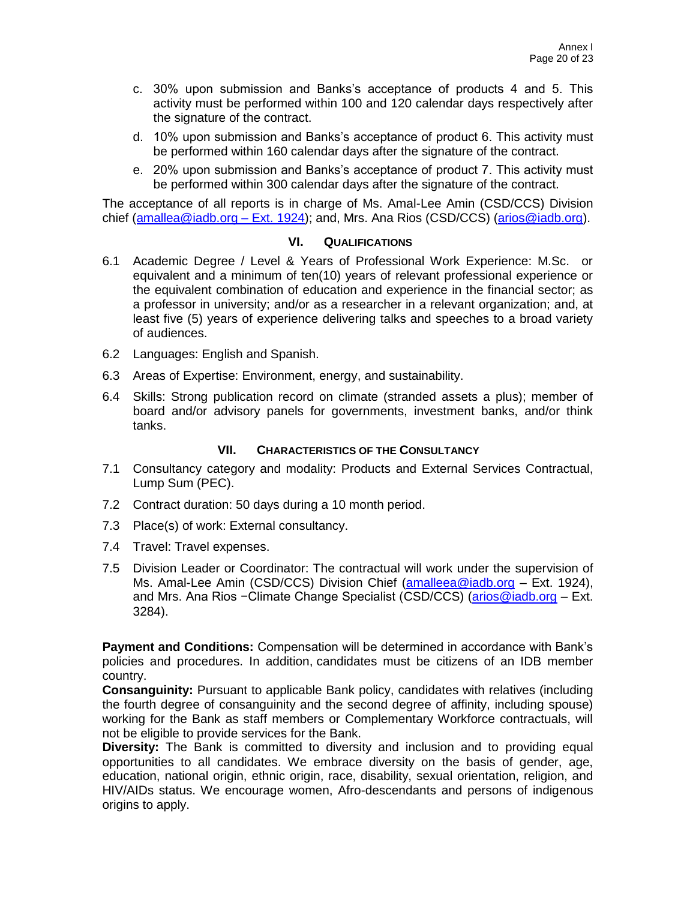- c. 30% upon submission and Banks's acceptance of products 4 and 5. This activity must be performed within 100 and 120 calendar days respectively after the signature of the contract.
- d. 10% upon submission and Banks's acceptance of product 6. This activity must be performed within 160 calendar days after the signature of the contract.
- e. 20% upon submission and Banks's acceptance of product 7. This activity must be performed within 300 calendar days after the signature of the contract.

The acceptance of all reports is in charge of Ms. Amal-Lee Amin (CSD/CCS) Division chief [\(amallea@iadb.org](mailto:amallea@iadb.org) – Ext. 1924); and, Mrs. Ana Rios (CSD/CCS) [\(arios@iadb.org\)](mailto:arios@iadb.org).

### **VI. QUALIFICATIONS**

- 6.1 Academic Degree / Level & Years of Professional Work Experience: M.Sc. or equivalent and a minimum of ten(10) years of relevant professional experience or the equivalent combination of education and experience in the financial sector; as a professor in university; and/or as a researcher in a relevant organization; and, at least five (5) years of experience delivering talks and speeches to a broad variety of audiences.
- 6.2 Languages: English and Spanish.
- 6.3 Areas of Expertise: Environment, energy, and sustainability.
- 6.4 Skills: Strong publication record on climate (stranded assets a plus); member of board and/or advisory panels for governments, investment banks, and/or think tanks.

## **VII. CHARACTERISTICS OF THE CONSULTANCY**

- 7.1 Consultancy category and modality: Products and External Services Contractual, Lump Sum (PEC).
- 7.2 Contract duration: 50 days during a 10 month period.
- 7.3 Place(s) of work: External consultancy.
- 7.4 Travel: Travel expenses.
- 7.5 Division Leader or Coordinator: The contractual will work under the supervision of Ms. Amal-Lee Amin (CSD/CCS) Division Chief [\(amalleea@iadb.org](mailto:amalleea@iadb.org) - Ext. 1924), and Mrs. Ana Rios −Climate Change Specialist (CSD/CCS) [\(arios@iadb.org](mailto:arios@iadb.org) – Ext. 3284).

**Payment and Conditions:** Compensation will be determined in accordance with Bank's policies and procedures. In addition, candidates must be citizens of an IDB member country.

**Consanguinity:** Pursuant to applicable Bank policy, candidates with relatives (including the fourth degree of consanguinity and the second degree of affinity, including spouse) working for the Bank as staff members or Complementary Workforce contractuals, will not be eligible to provide services for the Bank.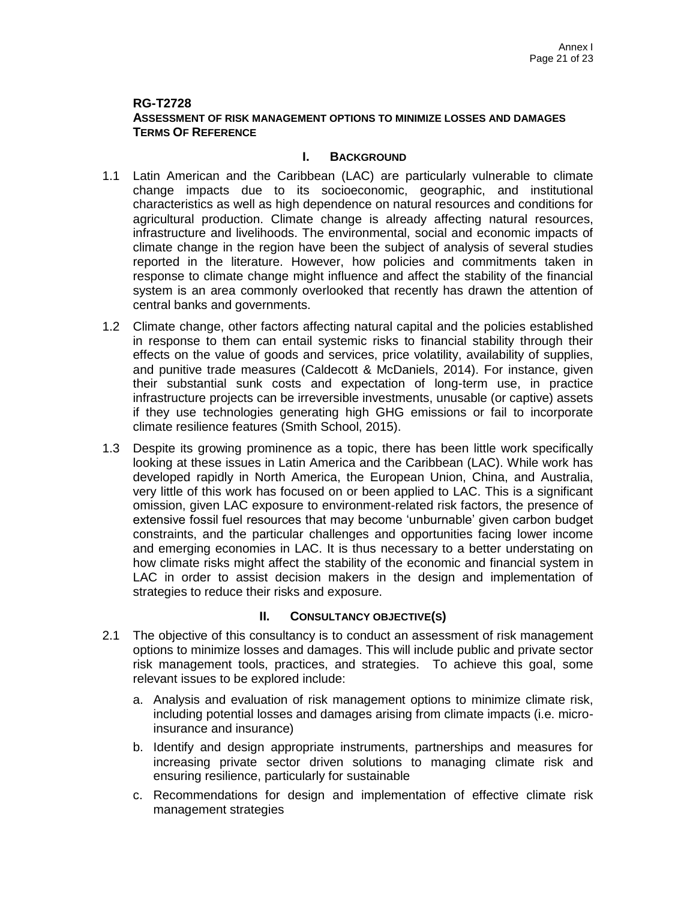## **RG-T2728 ASSESSMENT OF RISK MANAGEMENT OPTIONS TO MINIMIZE LOSSES AND DAMAGES TERMS OF REFERENCE**

## **I. BACKGROUND**

- 1.1 Latin American and the Caribbean (LAC) are particularly vulnerable to climate change impacts due to its socioeconomic, geographic, and institutional characteristics as well as high dependence on natural resources and conditions for agricultural production. Climate change is already affecting natural resources, infrastructure and livelihoods. The environmental, social and economic impacts of climate change in the region have been the subject of analysis of several studies reported in the literature. However, how policies and commitments taken in response to climate change might influence and affect the stability of the financial system is an area commonly overlooked that recently has drawn the attention of central banks and governments.
- 1.2 Climate change, other factors affecting natural capital and the policies established in response to them can entail systemic risks to financial stability through their effects on the value of goods and services, price volatility, availability of supplies, and punitive trade measures (Caldecott & McDaniels, 2014). For instance, given their substantial sunk costs and expectation of long-term use, in practice infrastructure projects can be irreversible investments, unusable (or captive) assets if they use technologies generating high GHG emissions or fail to incorporate climate resilience features (Smith School, 2015).
- 1.3 Despite its growing prominence as a topic, there has been little work specifically looking at these issues in Latin America and the Caribbean (LAC). While work has developed rapidly in North America, the European Union, China, and Australia, very little of this work has focused on or been applied to LAC. This is a significant omission, given LAC exposure to environment-related risk factors, the presence of extensive fossil fuel resources that may become 'unburnable' given carbon budget constraints, and the particular challenges and opportunities facing lower income and emerging economies in LAC. It is thus necessary to a better understating on how climate risks might affect the stability of the economic and financial system in LAC in order to assist decision makers in the design and implementation of strategies to reduce their risks and exposure.

- 2.1 The objective of this consultancy is to conduct an assessment of risk management options to minimize losses and damages. This will include public and private sector risk management tools, practices, and strategies. To achieve this goal, some relevant issues to be explored include:
	- a. Analysis and evaluation of risk management options to minimize climate risk, including potential losses and damages arising from climate impacts (i.e. microinsurance and insurance)
	- b. Identify and design appropriate instruments, partnerships and measures for increasing private sector driven solutions to managing climate risk and ensuring resilience, particularly for sustainable
	- c. Recommendations for design and implementation of effective climate risk management strategies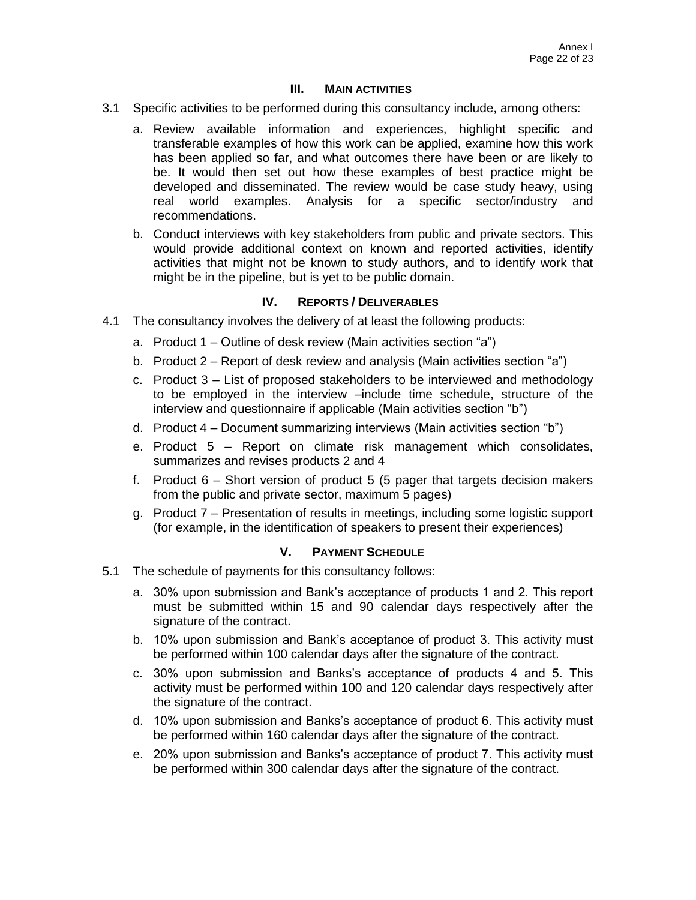- 3.1 Specific activities to be performed during this consultancy include, among others:
	- a. Review available information and experiences, highlight specific and transferable examples of how this work can be applied, examine how this work has been applied so far, and what outcomes there have been or are likely to be. It would then set out how these examples of best practice might be developed and disseminated. The review would be case study heavy, using real world examples. Analysis for a specific sector/industry and recommendations.
	- b. Conduct interviews with key stakeholders from public and private sectors. This would provide additional context on known and reported activities, identify activities that might not be known to study authors, and to identify work that might be in the pipeline, but is yet to be public domain.

### **IV. REPORTS / DELIVERABLES**

- 4.1 The consultancy involves the delivery of at least the following products:
	- a. Product 1 Outline of desk review (Main activities section "a")
	- b. Product 2 Report of desk review and analysis (Main activities section "a")
	- c. Product 3 List of proposed stakeholders to be interviewed and methodology to be employed in the interview –include time schedule, structure of the interview and questionnaire if applicable (Main activities section "b")
	- d. Product 4 Document summarizing interviews (Main activities section "b")
	- e. Product 5 Report on climate risk management which consolidates, summarizes and revises products 2 and 4
	- f. Product 6 Short version of product 5 (5 pager that targets decision makers from the public and private sector, maximum 5 pages)
	- g. Product 7 Presentation of results in meetings, including some logistic support (for example, in the identification of speakers to present their experiences)

- 5.1 The schedule of payments for this consultancy follows:
	- a. 30% upon submission and Bank's acceptance of products 1 and 2. This report must be submitted within 15 and 90 calendar days respectively after the signature of the contract.
	- b. 10% upon submission and Bank's acceptance of product 3. This activity must be performed within 100 calendar days after the signature of the contract.
	- c. 30% upon submission and Banks's acceptance of products 4 and 5. This activity must be performed within 100 and 120 calendar days respectively after the signature of the contract.
	- d. 10% upon submission and Banks's acceptance of product 6. This activity must be performed within 160 calendar days after the signature of the contract.
	- e. 20% upon submission and Banks's acceptance of product 7. This activity must be performed within 300 calendar days after the signature of the contract.